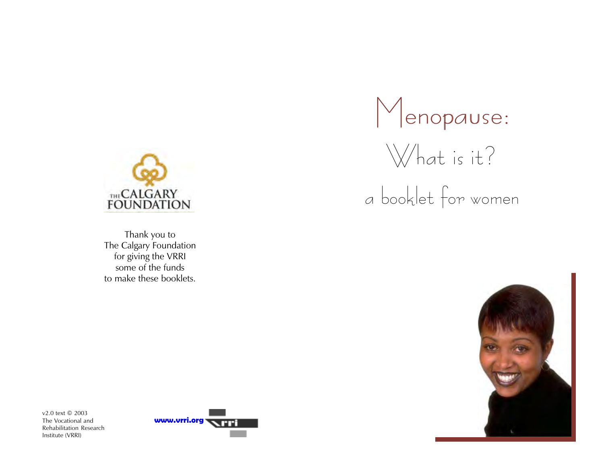

Thank you to The Calgary Foundation for giving the VRRI some of the funds to make these booklets.





a booklet for women



v2.0 text © 2003 The Vocational and Rehabilitation Research Institute (VRRI)

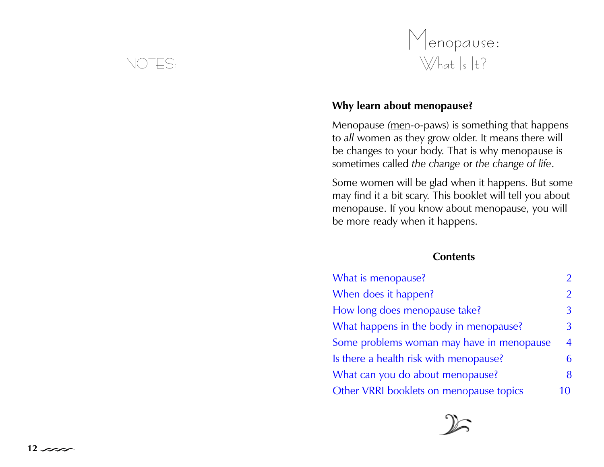# NOTES:



## Why learn about menopause?

Menopause (men-o-paws) is something that happens to all women as they grow older. It means there will be changes to your body. That is why menopause is sometimes called the change or the change of life.

Some women will be glad when it happens. But some may find it a bit scary. This booklet will tell you about menopause. If you know about menopause, you will be more ready when it happens.

#### **Contents**

| What is menopause?                        | $\mathfrak{D}$ |
|-------------------------------------------|----------------|
| When does it happen?                      | $\overline{2}$ |
| How long does menopause take?             | 3              |
| What happens in the body in menopause?    | 3              |
| Some problems woman may have in menopause | $\overline{4}$ |
| Is there a health risk with menopause?    | 6              |
| What can you do about menopause?          | 8              |
| Other VRRI booklets on menopause topics   | 10             |

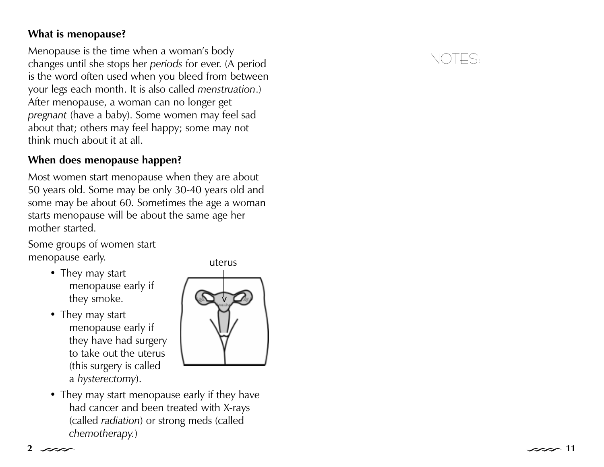## <span id="page-2-0"></span>What is menopause?

Menopause is the time when a woman's body changes until she stops her periods for ever. (A period is the word often used when you bleed from between your legs each month. It is also called menstruation.) After menopause, a woman can no longer get pregnan<sup>t</sup> (have a baby). Some women may feel sad about that; others may feel happy; some may not think much about it at all.

## When does menopause happen?

Most women start menopause when they are about 50 years old. Some may be only 30-40 years old and some may be about 60. Sometimes the age a woman starts menopause will be about the same age her mother started.

Some groups of women start menopause early.

- They may start menopause early if they smoke.
- They may start menopause early if they have had surgery to take out the uterus (this surgery is called a hysterectomy).



 They may start menopause early if they have had cancer and been treated with X-rays (called radiation) or strong meds (called chemotherapy.)

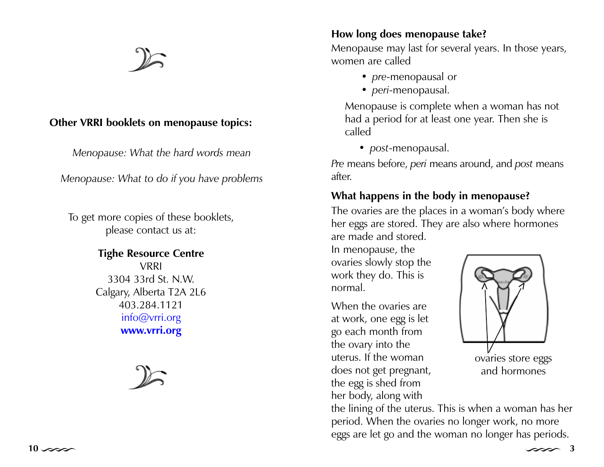## <span id="page-3-0"></span>Other VRRI booklets on menopause topics:

Menopause: What the hard words mean

Menopause: What to do if you have problems

To get more copies of these booklets, please contact us at:

## Tighe Resource Centre VRRI 3304 33rd St. N.W. Calgary, Alberta T2A 2L6 403.284.1121 info@vrri.org www.vrri.org

## How long does menopause take?

Menopause may last for several years. In those years, women are called

- $\bullet\,$  pre-menopausal or
- *peri-*menopausal.

Menopause is complete when a woman has not had a period for at least one year. Then she is called

post-menopausal.

Pre means before, peri means around, and post means after.

## What happens in the body in menopause?

The ovaries are the places in a woman's body where her eggs are stored. They are also where hormones are made and stored.

In menopause, the ovaries slowly stop the work they do. This is normal.

When the ovaries are at work, one egg is let go each month from the ovary into the uterus. If the woman does not get pregnant, the egg is shed from her body, along with



ovaries store eggs and hormones

the lining of the uterus. This is when a woman has her period. When the ovaries no longer work, no more eggs are let go and the woman no longer has periods.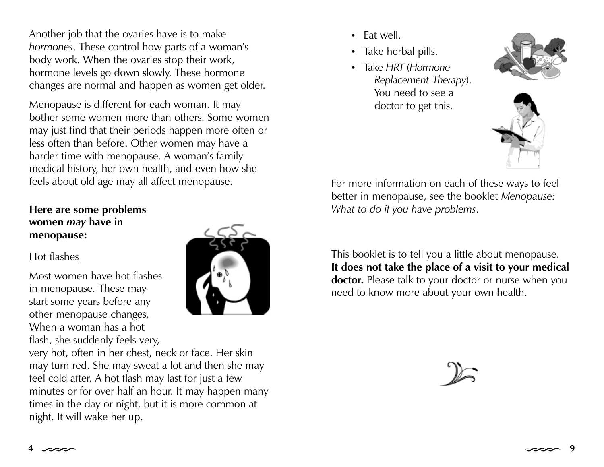<span id="page-4-0"></span>Another job that the ovaries have is to make hormones. These control how parts of a woman's body work. When the ovaries stop their work, hormone levels go down slowly. These hormone changes are normal and happen as women get older.

Menopause is different for each woman. It may bother some women more than others. Some women may just find that their periods happen more often or less often than before. Other women may have a harder time with menopause. A woman's family medical history, her own health, and even how she feels about old age may all affect menopause.

## Here are some problems women may have in menopause:

#### Hot flashes

Most women have hot flashes in menopause. These may start some years before any other menopause changes. When a woman has a hot flash, she suddenly feels very,



very hot, often in her chest, neck or face. Her skin may turn red. She may sweat a lot and then she may feel cold after. A hot flash may last for just a few minutes or for over half an hour. It may happen many times in the day or night, but it is more common at night. It will wake her up.

- Eat well.
- $\bullet$ Take herbal pills.
- . Take HRT (Hormone Replacement Therapy). You need to see a doctor to get this.





For more information on each of these ways to feel better in menopause, see the booklet Menopause: What to do if you have problems.

This booklet is to tell you a little about menopause. It does not take the place of a visit to your medical doctor. Please talk to your doctor or nurse when you need to know more about your own health.

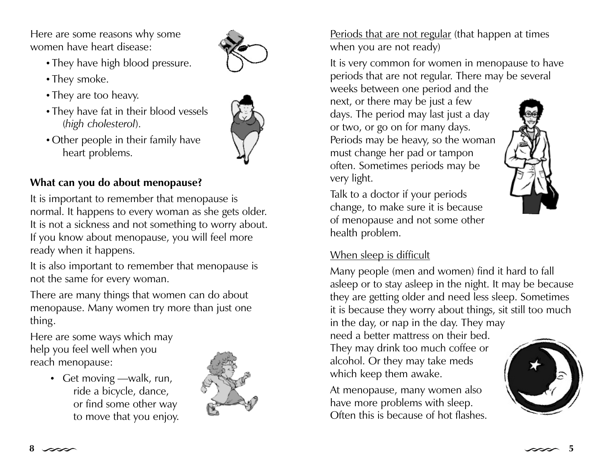<span id="page-5-0"></span>Here are some reasons why some women have heart disease:

- They have high blood pressure.
- They smoke.
- They are too heavy.
- They have fat in their blood vessels (high cholesterol).
- Other people in their family have heart problems.



## What can you do about menopause?

It is important to remember that menopause is normal. It happens to every woman as she gets older. It is not a sickness and not something to worry about. If you know about menopause, you will feel more ready when it happens.

It is also important to remember that menopause is not the same for every woman.

There are many things that women can do about menopause. Many women try more than just one thing.

Here are some ways which may help you feel well when you reach menopause:

> • Get moving —walk, run, ride a bicycle, dance, or find some other way to move that you enjoy.



Periods that are not regular (that happen at times when you are not ready)

It is very common for women in menopause to have periods that are not regular. There may be several weeks between one period and the

next, or there may be just a few days. The period may last just a day or two, or go on for many days. Periods may be heavy, so the woman must change her pad or tampon often. Sometimes periods may be very light.



Talk to a doctor if your periods change, to make sure it is because of menopause and not some other health problem.

## When sleep is difficult

Many people (men and women) find it hard to fall asleep or to stay asleep in the night. It may be because they are getting older and need less sleep. Sometimes it is because they worry about things, sit still too much in the day, or nap in the day. They may need a better mattress on their bed.

They may drink too much coffee or alcohol. Or they may take meds which keep them awake.

At menopause, many women also have more problems with sleep. Often this is because of hot flashes.